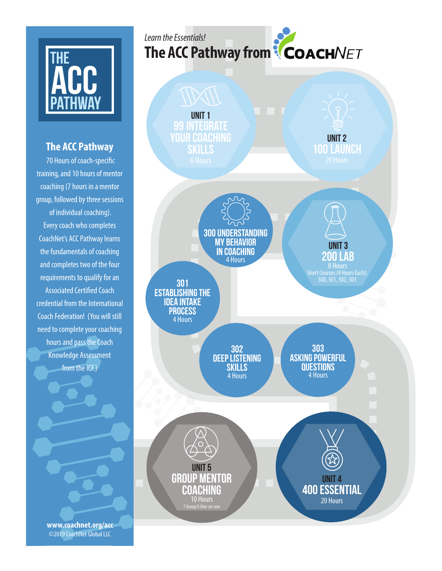# **THE**

#### **The ACC Pathway**

70 Hours of coach-specific training, and 10 hours of mentor coaching (7 hours in a mentor group, followed by three sessions of individual coaching). Every coach who completes CoachNet's ACC Pathway learns the fundamentals of coaching and completes two of the four requirements to qualify for an Associated Certified Coach credential from the International Coach Federation! (You will still need to complete your coaching hours and pass the Coach Knowledge Assessment from the ICF.)

#### *Learn the Essentials!* Learn the Essentials!<br> **The ACC Pathway from COACHNET**



©2019 CoachNet Global LLC **www.coachnet.org/acc**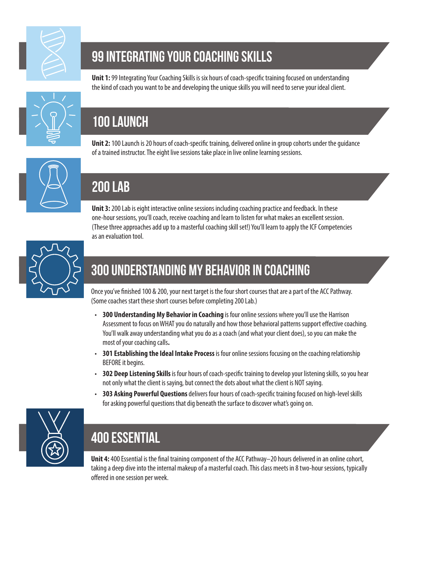

#### 99 Integrating Your Coaching Skills

**Unit 1:** 99 Integrating Your Coaching Skills is six hours of coach-specific training focused on understanding the kind of coach you want to be and developing the unique skills you will need to serve your ideal client.



#### 100 LAUNCH

## 200 LAB

Unit 3: 200 Lab is eight interactive online sessions including coaching practice and feedback. In these one-hour sessions, you'll coach, receive coaching and learn to listen for what makes an excellent session. (These three approaches add up to a masterful coaching skill set!) You'll learn to apply the ICF Competencies as an evaluation tool.

**Unit 2:** 100 Launch is 20 hours of coach-specific training, delivered online in group cohorts under the guidance



#### 300 Understanding My Behavior in coaching

of a trained instructor. The eight live sessions take place in live online learning sessions.

Once you've finished 100 & 200, your next target is the four short courses that are a part of the ACC Pathway. (Some coaches start these short courses before completing 200 Lab.)

- **300 Understanding My Behavior in Coaching** is four online sessions where you'll use the Harrison Assessment to focus on WHAT you do naturally and how those behavioral patterns support effective coaching. You'll walk away understanding what you do as a coach (and what your client does), so you can make the most of your coaching calls**.**
- **301 Establishing the Ideal Intake Process** is four online sessions focusing on the coaching relationship BEFORE it begins.
- **302 Deep Listening Skills** is four hours of coach-specific training to develop your listening skills, so you hear not only what the client is saying, but connect the dots about what the client is NOT saying.
- **303 Asking Powerful Questions** delivers four hours of coach-specific training focused on high-level skills for asking powerful questions that dig beneath the surface to discover what's going on.



### 400 Essential

**Unit 4:** 400 Essential is the final training component of the ACC Pathway–20 hours delivered in an online cohort, taking a deep dive into the internal makeup of a masterful coach. This class meets in 8 two-hour sessions, typically offered in one session per week.